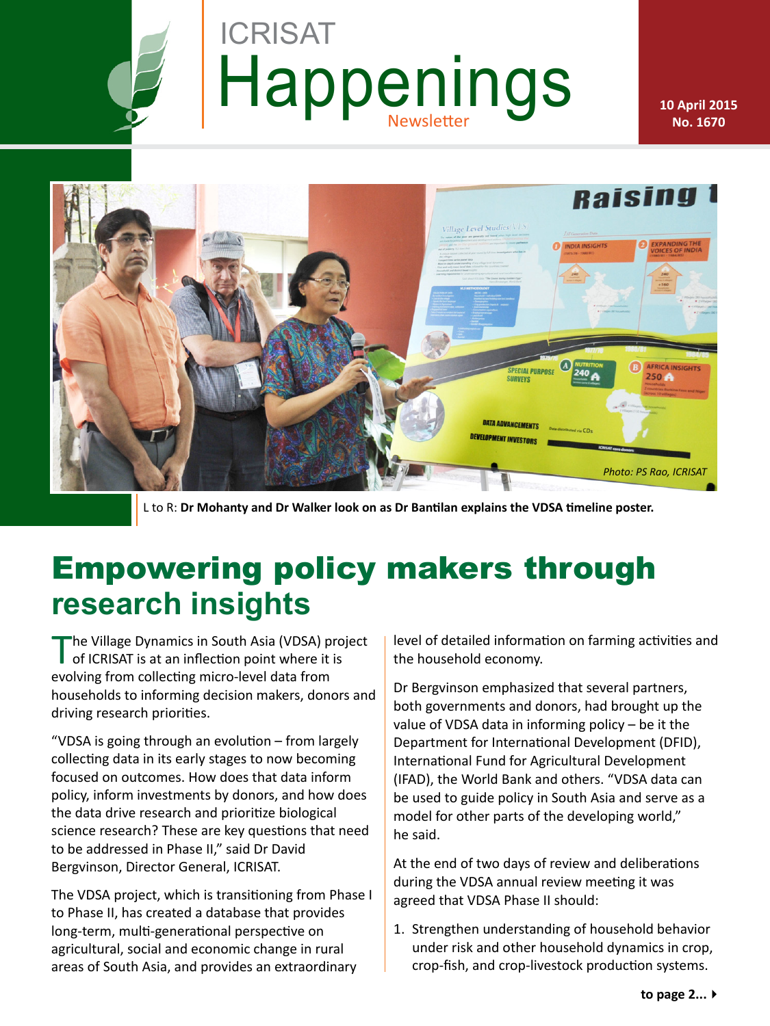# Happenings ICRISAT

**10 April 2015 No. 1670**



L to R: **Dr Mohanty and Dr Walker look on as Dr Bantilan explains the VDSA timeline poster.**

## Empowering policy makers through **research insights**

The Village Dynamics in South Asia (VDSA) project of ICRISAT is at an inflection point where it is evolving from collecting micro-level data from households to informing decision makers, donors and driving research priorities.

"VDSA is going through an evolution – from largely collecting data in its early stages to now becoming focused on outcomes. How does that data inform policy, inform investments by donors, and how does the data drive research and prioritize biological science research? These are key questions that need to be addressed in Phase II," said Dr David Bergvinson, Director General, ICRISAT.

The VDSA project, which is transitioning from Phase I to Phase II, has created a database that provides long-term, multi-generational perspective on agricultural, social and economic change in rural areas of South Asia, and provides an extraordinary

level of detailed information on farming activities and the household economy.

Dr Bergvinson emphasized that several partners, both governments and donors, had brought up the value of VDSA data in informing policy – be it the Department for International Development (DFID), International Fund for Agricultural Development (IFAD), the World Bank and others. "VDSA data can be used to guide policy in South Asia and serve as a model for other parts of the developing world," he said.

At the end of two days of review and deliberations during the VDSA annual review meeting it was agreed that VDSA Phase II should:

1. Strengthen understanding of household behavior under risk and other household dynamics in crop, crop-fish, and crop-livestock production systems.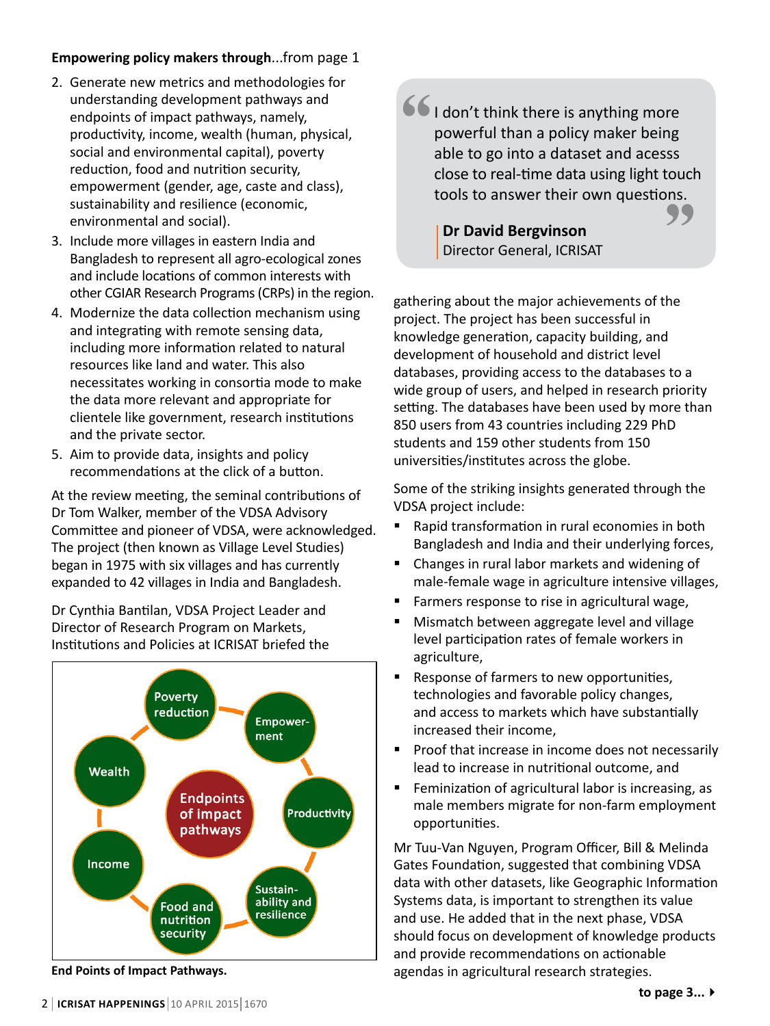### **Empowering policy makers through**...from page 1

- 2. Generate new metrics and methodologies for understanding development pathways and endpoints of impact pathways, namely, productivity, income, wealth (human, physical, social and environmental capital), poverty reduction, food and nutrition security, empowerment (gender, age, caste and class), sustainability and resilience (economic, environmental and social).
- 3. Include more villages in eastern India and Bangladesh to represent all agro-ecological zones and include locations of common interests with other CGIAR Research Programs (CRPs) in the region.
- 4. Modernize the data collection mechanism using and integrating with remote sensing data, including more information related to natural resources like land and water. This also necessitates working in consortia mode to make the data more relevant and appropriate for clientele like government, research institutions and the private sector.
- 5. Aim to provide data, insights and policy recommendations at the click of a button.

At the review meeting, the seminal contributions of Dr Tom Walker, member of the VDSA Advisory Committee and pioneer of VDSA, were acknowledged. The project (then known as Village Level Studies) began in 1975 with six villages and has currently expanded to 42 villages in India and Bangladesh.

Dr Cynthia Bantilan, VDSA Project Leader and Director of Research Program on Markets, Institutions and Policies at ICRISAT briefed the



**End Points of Impact Pathways.**

66<br>" close to real-time data using light touch<br>tools to answer their own questions. I don't think there is anything more powerful than a policy maker being able to go into a dataset and acesss tools to answer their own questions.

**Dr David Bergvinson**  Director General, ICRISAT

gathering about the major achievements of the project. The project has been successful in knowledge generation, capacity building, and development of household and district level databases, providing access to the databases to a wide group of users, and helped in research priority setting. The databases have been used by more than 850 users from 43 countries including 229 PhD students and 159 other students from 150 universities/institutes across the globe.

Some of the striking insights generated through the VDSA project include:

- Rapid transformation in rural economies in both Bangladesh and India and their underlying forces,
- Changes in rural labor markets and widening of male-female wage in agriculture intensive villages,
- **Farmers response to rise in agricultural wage,**
- **Mismatch between aggregate level and village** level participation rates of female workers in agriculture,
- **Response of farmers to new opportunities,** technologies and favorable policy changes, and access to markets which have substantially increased their income,
- **Proof that increase in income does not necessarily** lead to increase in nutritional outcome, and
- **Feminization of agricultural labor is increasing, as** male members migrate for non-farm employment opportunities.

Mr Tuu-Van Nguyen, Program Officer, Bill & Melinda Gates Foundation, suggested that combining VDSA data with other datasets, like Geographic Information Systems data, is important to strengthen its value and use. He added that in the next phase, VDSA should focus on development of knowledge products and provide recommendations on actionable agendas in agricultural research strategies.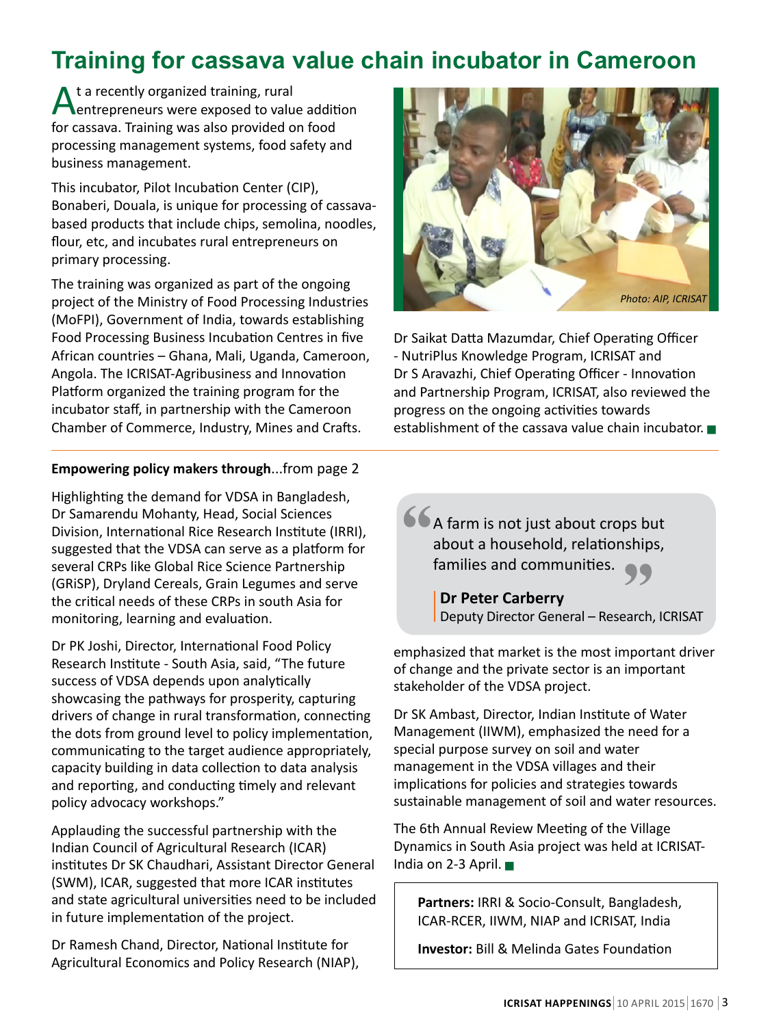## **Training for cassava value chain incubator in Cameroon**

At a recently organized training, rural<br>
entrepreneurs were exposed to value addition for cassava. Training was also provided on food processing management systems, food safety and business management.

This incubator, Pilot Incubation Center (CIP), Bonaberi, Douala, is unique for processing of cassavabased products that include chips, semolina, noodles, flour, etc, and incubates rural entrepreneurs on primary processing.

The training was organized as part of the ongoing project of the Ministry of Food Processing Industries (MoFPI), Government of India, towards establishing Food Processing Business Incubation Centres in five African countries – Ghana, Mali, Uganda, Cameroon, Angola. The ICRISAT-Agribusiness and Innovation Platform organized the training program for the incubator staff, in partnership with the Cameroon Chamber of Commerce, Industry, Mines and Crafts.

#### **Empowering policy makers through**...from page 2

Highlighting the demand for VDSA in Bangladesh, Dr Samarendu Mohanty, Head, Social Sciences Division, International Rice Research Institute (IRRI), suggested that the VDSA can serve as a platform for several CRPs like Global Rice Science Partnership (GRiSP), Dryland Cereals, Grain Legumes and serve the critical needs of these CRPs in south Asia for monitoring, learning and evaluation.

Dr PK Joshi, Director, International Food Policy Research Institute - South Asia, said, "The future success of VDSA depends upon analytically showcasing the pathways for prosperity, capturing drivers of change in rural transformation, connecting the dots from ground level to policy implementation, communicating to the target audience appropriately, capacity building in data collection to data analysis and reporting, and conducting timely and relevant policy advocacy workshops."

Applauding the successful partnership with the Indian Council of Agricultural Research (ICAR) institutes Dr SK Chaudhari, Assistant Director General (SWM), ICAR, suggested that more ICAR institutes and state agricultural universities need to be included in future implementation of the project.

Dr Ramesh Chand, Director, National Institute for Agricultural Economics and Policy Research (NIAP),



Dr Saikat Datta Mazumdar, Chief Operating Officer - NutriPlus Knowledge Program, ICRISAT and Dr S Aravazhi, Chief Operating Officer - Innovation and Partnership Program, ICRISAT, also reviewed the progress on the ongoing activities towards establishment of the cassava value chain incubator.  $\blacksquare$ 

A farm is not just about crops but about a household, relationships,<br>families and communities. families and communities.  $\frac{66}{a}$ 

> **Dr Peter Carberry** Deputy Director General – Research, ICRISAT

emphasized that market is the most important driver of change and the private sector is an important stakeholder of the VDSA project.

Dr SK Ambast, Director, Indian Institute of Water Management (IIWM), emphasized the need for a special purpose survey on soil and water management in the VDSA villages and their implications for policies and strategies towards sustainable management of soil and water resources.

The 6th Annual Review Meeting of the Village Dynamics in South Asia project was held at ICRISAT-India on 2-3 April.

**Partners:** IRRI & Socio-Consult, Bangladesh, ICAR-RCER, IIWM, NIAP and ICRISAT, India

**Investor:** Bill & Melinda Gates Foundation